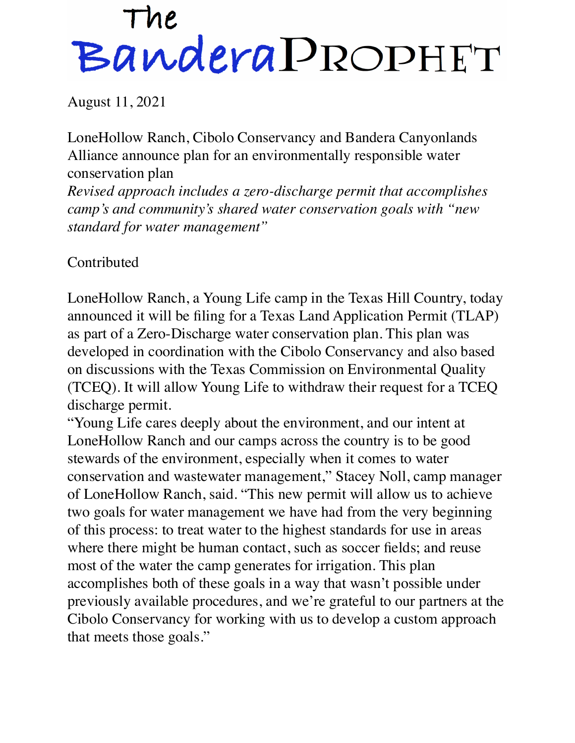## The<br>Bandera PROPHET

August 11, 2021

LoneHollow Ranch, Cibolo Conservancy and Bandera Canyonlands Alliance announce plan for an environmentally responsible water conservation plan

*Revised approach includes a zero-discharge permit that accomplishes camp's and community's shared water conservation goals with "new standard for water management"*

Contributed

LoneHollow Ranch, a Young Life camp in the Texas Hill Country, today announced it will be filing for a Texas Land Application Permit (TLAP) as part of a Zero-Discharge water conservation plan. This plan was developed in coordination with the Cibolo Conservancy and also based on discussions with the Texas Commission on Environmental Quality (TCEQ). It will allow Young Life to withdraw their request for a TCEQ discharge permit.

"Young Life cares deeply about the environment, and our intent at LoneHollow Ranch and our camps across the country is to be good stewards of the environment, especially when it comes to water conservation and wastewater management," Stacey Noll, camp manager of LoneHollow Ranch, said. "This new permit will allow us to achieve two goals for water management we have had from the very beginning of this process: to treat water to the highest standards for use in areas where there might be human contact, such as soccer fields; and reuse most of the water the camp generates for irrigation. This plan accomplishes both of these goals in a way that wasn't possible under previously available procedures, and we're grateful to our partners at the Cibolo Conservancy for working with us to develop a custom approach that meets those goals."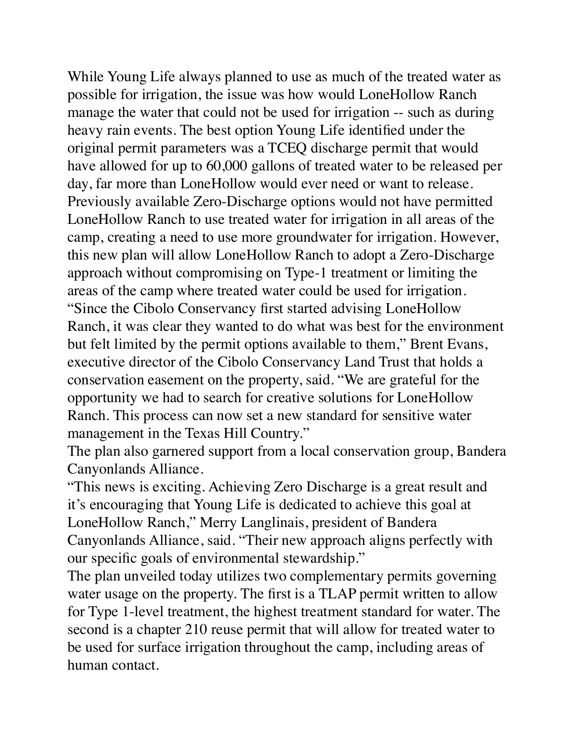While Young Life always planned to use as much of the treated water as possible for irrigation, the issue was how would LoneHollow Ranch manage the water that could not be used for irrigation -- such as during heavy rain events. The best option Young Life identified under the original permit parameters was a TCEQ discharge permit that would have allowed for up to 60,000 gallons of treated water to be released per day, far more than LoneHollow would ever need or want to release. Previously available Zero-Discharge options would not have permitted LoneHollow Ranch to use treated water for irrigation in all areas of the camp, creating a need to use more groundwater for irrigation. However, this new plan will allow LoneHollow Ranch to adopt a Zero-Discharge approach without compromising on Type-1 treatment or limiting the areas of the camp where treated water could be used for irrigation. "Since the Cibolo Conservancy first started advising LoneHollow Ranch, it was clear they wanted to do what was best for the environment but felt limited by the permit options available to them," Brent Evans, executive director of the Cibolo Conservancy Land Trust that holds a conservation easement on the property, said. "We are grateful for the opportunity we had to search for creative solutions for LoneHollow Ranch. This process can now set a new standard for sensitive water management in the Texas Hill Country."

The plan also garnered support from a local conservation group, Bandera Canyonlands Alliance.

"This news is exciting. Achieving Zero Discharge is a great result and it's encouraging that Young Life is dedicated to achieve this goal at LoneHollow Ranch," Merry Langlinais, president of Bandera Canyonlands Alliance, said. "Their new approach aligns perfectly with our specific goals of environmental stewardship."

The plan unveiled today utilizes two complementary permits governing water usage on the property. The first is a TLAP permit written to allow for Type 1-level treatment, the highest treatment standard for water. The second is a chapter 210 reuse permit that will allow for treated water to be used for surface irrigation throughout the camp, including areas of human contact.